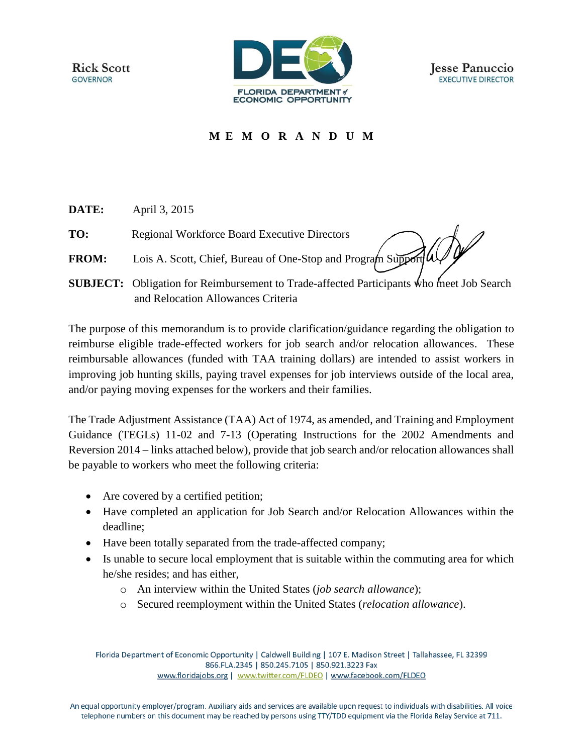**Rick Scott GOVERNOR** 





## **M E M O R A N D U M**

- **DATE:** April 3, 2015
- **TO:** Regional Workforce Board Executive Directors
- **FROM:** Lois A. Scott, Chief, Bureau of One-Stop and Program Support
- **SUBJECT:** Obligation for Reimbursement to Trade-affected Participants who meet Job Search and Relocation Allowances Criteria

The purpose of this memorandum is to provide clarification/guidance regarding the obligation to reimburse eligible trade-effected workers for job search and/or relocation allowances. These reimbursable allowances (funded with TAA training dollars) are intended to assist workers in improving job hunting skills, paying travel expenses for job interviews outside of the local area, and/or paying moving expenses for the workers and their families.

The Trade Adjustment Assistance (TAA) Act of 1974, as amended, and Training and Employment Guidance (TEGLs) 11-02 and 7-13 (Operating Instructions for the 2002 Amendments and Reversion 2014 – links attached below), provide that job search and/or relocation allowances shall be payable to workers who meet the following criteria:

- Are covered by a certified petition;
- Have completed an application for Job Search and/or Relocation Allowances within the deadline;
- Have been totally separated from the trade-affected company;
- Is unable to secure local employment that is suitable within the commuting area for which he/she resides; and has either,
	- o An interview within the United States (*job search allowance*);
	- o Secured reemployment within the United States (*relocation allowance*).

Florida Department of Economic Opportunity | Caldwell Building | 107 E. Madison Street | Tallahassee, FL 32399 866.FLA.2345 | 850.245.7105 | 850.921.3223 Fax www.floridajobs.org | www.twitter.com/FLDEO | www.facebook.com/FLDEO

An equal opportunity employer/program. Auxiliary aids and services are available upon request to individuals with disabilities. All voice telephone numbers on this document may be reached by persons using TTY/TDD equipment via the Florida Relay Service at 711.